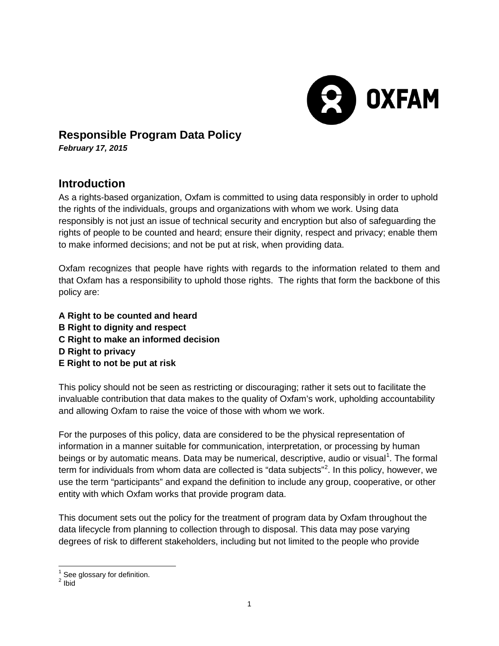

## **Responsible Program Data Policy**

*February 17, 2015*

# **Introduction**

As a rights-based organization, Oxfam is committed to using data responsibly in order to uphold the rights of the individuals, groups and organizations with whom we work. Using data responsibly is not just an issue of technical security and encryption but also of safeguarding the rights of people to be counted and heard; ensure their dignity, respect and privacy; enable them to make informed decisions; and not be put at risk, when providing data.

Oxfam recognizes that people have rights with regards to the information related to them and that Oxfam has a responsibility to uphold those rights. The rights that form the backbone of this policy are:

**A Right to be counted and heard B Right to dignity and respect C Right to make an informed decision D Right to privacy E Right to not be put at risk** 

This policy should not be seen as restricting or discouraging; rather it sets out to facilitate the invaluable contribution that data makes to the quality of Oxfam's work, upholding accountability and allowing Oxfam to raise the voice of those with whom we work.

For the purposes of this policy, data are considered to be the physical representation of information in a manner suitable for communication, interpretation, or processing by human beings or by automatic means. Data may be numerical, descriptive, audio or visual<sup>[1](#page-0-0)</sup>. The formal term for individuals from whom data are collected is "data subjects"<sup>[2](#page-0-1)</sup>. In this policy, however, we use the term "participants" and expand the definition to include any group, cooperative, or other entity with which Oxfam works that provide program data.

This document sets out the policy for the treatment of program data by Oxfam throughout the data lifecycle from planning to collection through to disposal. This data may pose varying degrees of risk to different stakeholders, including but not limited to the people who provide

<span id="page-0-1"></span><span id="page-0-0"></span> $\frac{1}{2}$  See glossary for definition.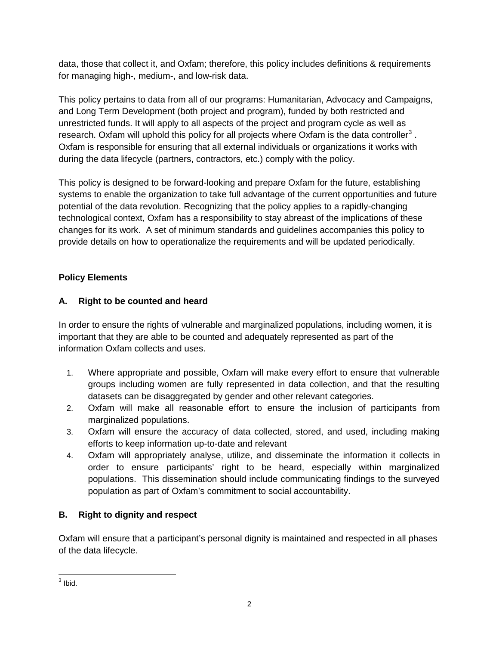data, those that collect it, and Oxfam; therefore, this policy includes definitions & requirements for managing high-, medium-, and low-risk data.

This policy pertains to data from all of our programs: Humanitarian, Advocacy and Campaigns, and Long Term Development (both project and program), funded by both restricted and unrestricted funds. It will apply to all aspects of the project and program cycle as well as research. Oxfam will uphold this policy for all projects where Oxfam is the data controller<sup>[3](#page-1-0)</sup>. Oxfam is responsible for ensuring that all external individuals or organizations it works with during the data lifecycle (partners, contractors, etc.) comply with the policy.

This policy is designed to be forward-looking and prepare Oxfam for the future, establishing systems to enable the organization to take full advantage of the current opportunities and future potential of the data revolution. Recognizing that the policy applies to a rapidly-changing technological context, Oxfam has a responsibility to stay abreast of the implications of these changes for its work. A set of minimum standards and guidelines accompanies this policy to provide details on how to operationalize the requirements and will be updated periodically.

## **Policy Elements**

## **A. Right to be counted and heard**

In order to ensure the rights of vulnerable and marginalized populations, including women, it is important that they are able to be counted and adequately represented as part of the information Oxfam collects and uses.

- 1. Where appropriate and possible, Oxfam will make every effort to ensure that vulnerable groups including women are fully represented in data collection, and that the resulting datasets can be disaggregated by gender and other relevant categories.
- 2. Oxfam will make all reasonable effort to ensure the inclusion of participants from marginalized populations.
- 3. Oxfam will ensure the accuracy of data collected, stored, and used, including making efforts to keep information up-to-date and relevant
- 4. Oxfam will appropriately analyse, utilize, and disseminate the information it collects in order to ensure participants' right to be heard, especially within marginalized populations. This dissemination should include communicating findings to the surveyed population as part of Oxfam's commitment to social accountability.

### **B. Right to dignity and respect**

Oxfam will ensure that a participant's personal dignity is maintained and respected in all phases of the data lifecycle.

<span id="page-1-0"></span> $3$  Ibid.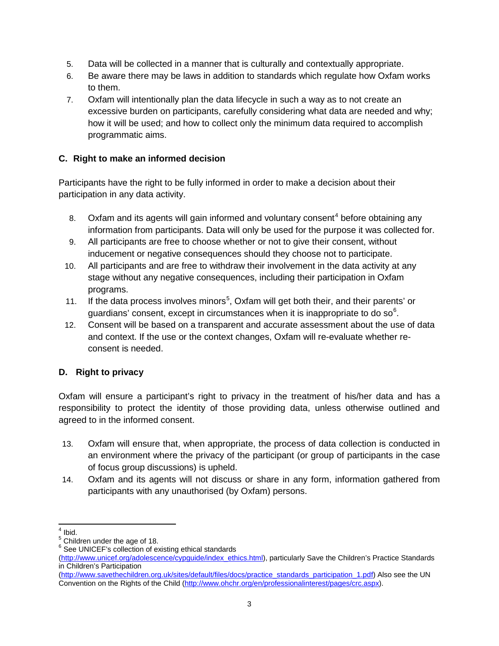- 5. Data will be collected in a manner that is culturally and contextually appropriate.
- 6. Be aware there may be laws in addition to standards which regulate how Oxfam works to them.
- 7. Oxfam will intentionally plan the data lifecycle in such a way as to not create an excessive burden on participants, carefully considering what data are needed and why; how it will be used; and how to collect only the minimum data required to accomplish programmatic aims.

### **C. Right to make an informed decision**

Participants have the right to be fully informed in order to make a decision about their participation in any data activity.

- 8. Oxfam and its agents will gain informed and voluntary consent<sup>[4](#page-2-0)</sup> before obtaining any information from participants. Data will only be used for the purpose it was collected for.
- 9. All participants are free to choose whether or not to give their consent, without inducement or negative consequences should they choose not to participate.
- 10. All participants and are free to withdraw their involvement in the data activity at any stage without any negative consequences, including their participation in Oxfam programs.
- 11. If the data process involves minors<sup>[5](#page-2-1)</sup>, Oxfam will get both their, and their parents' or guardians' consent, except in circumstances when it is inappropriate to do so<sup>[6](#page-2-2)</sup>.
- 12. Consent will be based on a transparent and accurate assessment about the use of data and context. If the use or the context changes, Oxfam will re-evaluate whether reconsent is needed.

### **D. Right to privacy**

Oxfam will ensure a participant's right to privacy in the treatment of his/her data and has a responsibility to protect the identity of those providing data, unless otherwise outlined and agreed to in the informed consent.

- 13. Oxfam will ensure that, when appropriate, the process of data collection is conducted in an environment where the privacy of the participant (or group of participants in the case of focus group discussions) is upheld.
- 14. Oxfam and its agents will not discuss or share in any form, information gathered from participants with any unauthorised (by Oxfam) persons.

<span id="page-2-0"></span> $^4$  Ibid.<br> $^5$  Children under the age of 18.

<span id="page-2-2"></span><span id="page-2-1"></span> $6$  See UNICEF's collection of existing ethical standards

[<sup>\(</sup>http://www.unicef.org/adolescence/cypguide/index\\_ethics.html\)](http://www.unicef.org/adolescence/cypguide/index_ethics.html), particularly Save the Children's Practice Standards in Children's Participation

[<sup>\(</sup>http://www.savethechildren.org.uk/sites/default/files/docs/practice\\_standards\\_participation\\_1.pdf\)](http://www.savethechildren.org.uk/sites/default/files/docs/practice_standards_participation_1.pdf) Also see the UN Convention on the Rights of the Child [\(http://www.ohchr.org/en/professionalinterest/pages/crc.aspx\)](http://www.ohchr.org/en/professionalinterest/pages/crc.aspx).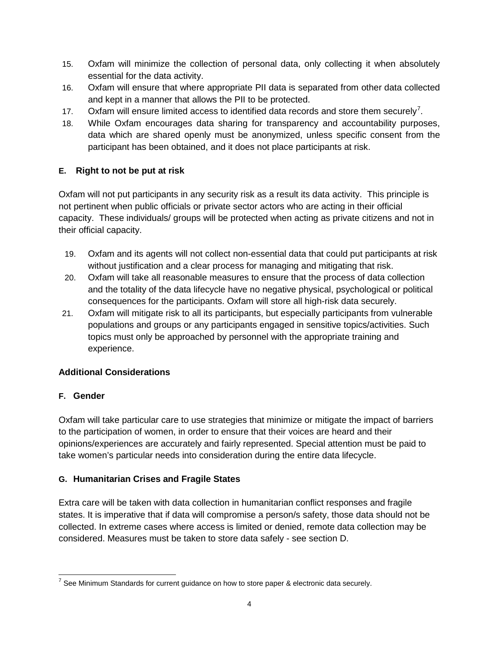- 15. Oxfam will minimize the collection of personal data, only collecting it when absolutely essential for the data activity.
- 16. Oxfam will ensure that where appropriate PII data is separated from other data collected and kept in a manner that allows the PII to be protected.
- 1[7](#page-3-0). Oxfam will ensure limited access to identified data records and store them securely<sup>7</sup>.
- 18. While Oxfam encourages data sharing for transparency and accountability purposes, data which are shared openly must be anonymized, unless specific consent from the participant has been obtained, and it does not place participants at risk.

## **E. Right to not be put at risk**

Oxfam will not put participants in any security risk as a result its data activity. This principle is not pertinent when public officials or private sector actors who are acting in their official capacity. These individuals/ groups will be protected when acting as private citizens and not in their official capacity.

- 19. Oxfam and its agents will not collect non-essential data that could put participants at risk without justification and a clear process for managing and mitigating that risk.
- 20. Oxfam will take all reasonable measures to ensure that the process of data collection and the totality of the data lifecycle have no negative physical, psychological or political consequences for the participants. Oxfam will store all high-risk data securely.
- 21. Oxfam will mitigate risk to all its participants, but especially participants from vulnerable populations and groups or any participants engaged in sensitive topics/activities. Such topics must only be approached by personnel with the appropriate training and experience.

## **Additional Considerations**

### **F. Gender**

Oxfam will take particular care to use strategies that minimize or mitigate the impact of barriers to the participation of women, in order to ensure that their voices are heard and their opinions/experiences are accurately and fairly represented. Special attention must be paid to take women's particular needs into consideration during the entire data lifecycle.

## **G. Humanitarian Crises and Fragile States**

Extra care will be taken with data collection in humanitarian conflict responses and fragile states. It is imperative that if data will compromise a person/s safety, those data should not be collected. In extreme cases where access is limited or denied, remote data collection may be considered. Measures must be taken to store data safely - see section D.

<span id="page-3-0"></span> $7$  See Minimum Standards for current guidance on how to store paper & electronic data securely.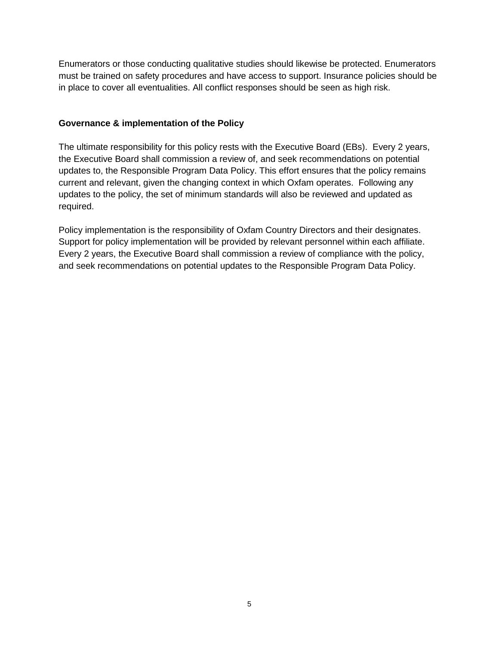Enumerators or those conducting qualitative studies should likewise be protected. Enumerators must be trained on safety procedures and have access to support. Insurance policies should be in place to cover all eventualities. All conflict responses should be seen as high risk.

### **Governance & implementation of the Policy**

The ultimate responsibility for this policy rests with the Executive Board (EBs). Every 2 years, the Executive Board shall commission a review of, and seek recommendations on potential updates to, the Responsible Program Data Policy. This effort ensures that the policy remains current and relevant, given the changing context in which Oxfam operates. Following any updates to the policy, the set of minimum standards will also be reviewed and updated as required.

Policy implementation is the responsibility of Oxfam Country Directors and their designates. Support for policy implementation will be provided by relevant personnel within each affiliate. Every 2 years, the Executive Board shall commission a review of compliance with the policy, and seek recommendations on potential updates to the Responsible Program Data Policy.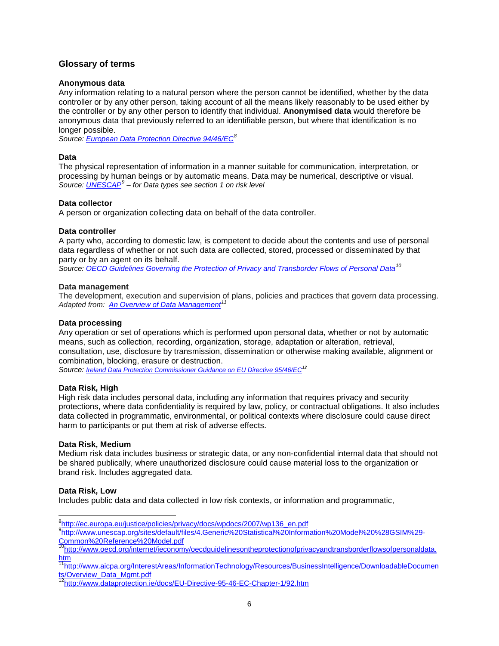### **Glossary of terms**

#### **Anonymous data**

Any information relating to a natural person where the person cannot be identified, whether by the data controller or by any other person, taking account of all the means likely reasonably to be used either by the controller or by any other person to identify that individual. **Anonymised data** would therefore be anonymous data that previously referred to an identifiable person, but where that identification is no longer possible.

*Source[: European Data Protection Directive 94/46/EC](http://ec.europa.eu/justice/policies/privacy/docs/wpdocs/2007/wp136_en.pdf)[8](#page-5-0)*

### **Data**

The physical representation of information in a manner suitable for communication, interpretation, or processing by human beings or by automatic means. Data may be numerical, descriptive or visual. *Source[: UNESCAP](http://www.unescap.org/sites/default/files/4.Generic%20Statistical%20Information%20Model%20%28GSIM%29-Common%20Reference%20Model.pdf)[9](#page-5-1) – for Data types see section 1 on risk level*

#### **Data collector**

A person or organization collecting data on behalf of the data controller.

#### **Data controller**

A party who, according to domestic law, is competent to decide about the contents and use of personal data regardless of whether or not such data are collected, stored, processed or disseminated by that party or by an agent on its behalf.

*Source: OECD Guidelines Governing [the Protection of Privacy and Transborder Flows of Personal Data](http://www.oecd.org/internet/ieconomy/oecdguidelinesontheprotectionofprivacyandtransborderflowsofpersonaldata.htm)[10](#page-5-2)*

#### **Data management**

The development, execution and supervision of plans, policies and practices that govern data processing. *Adapted from: [An Overview of Data Management](http://www.aicpa.org/InterestAreas/InformationTechnology/Resources/BusinessIntelligence/DownloadableDocuments/Overview_Data_Mgmt.pdf)[11](#page-5-3)*

#### **Data processing**

Any operation or set of operations which is performed upon personal data, whether or not by automatic means, such as collection, recording, organization, storage, adaptation or alteration, retrieval, consultation, use, disclosure by transmission, dissemination or otherwise making available, alignment or combination, blocking, erasure or destruction.

*Source: [Ireland Data Protection Commissioner Guidance on EU Directive 95/46/EC](http://www.dataprotection.ie/docs/EU-Directive-95-46-EC-Chapter-1/92.htm)[12](#page-5-4)*

#### **Data Risk, High**

High risk data includes personal data, including any information that requires privacy and security protections, where data confidentiality is required by law, policy, or contractual obligations. It also includes data collected in programmatic, environmental, or political contexts where disclosure could cause direct harm to participants or put them at risk of adverse effects.

#### **Data Risk, Medium**

Medium risk data includes business or strategic data, or any non-confidential internal data that should not be shared publically, where unauthorized disclosure could cause material loss to the organization or brand risk. Includes aggregated data.

#### **Data Risk, Low**

Includes public data and data collected in low risk contexts, or information and programmatic,

<span id="page-5-3"></span>[11http://www.aicpa.org/InterestAreas/InformationTechnology/Resources/BusinessIntelligence/DownloadableDocumen](http://www.aicpa.org/InterestAreas/InformationTechnology/Resources/BusinessIntelligence/DownloadableDocuments/Overview_Data_Mgmt.pdf) [ts/Overview\\_Data\\_Mgmt.pdf](http://www.aicpa.org/InterestAreas/InformationTechnology/Resources/BusinessIntelligence/DownloadableDocuments/Overview_Data_Mgmt.pdf)<br><sup>12</sup>http://www.dataprotection.ie/docs/EU-Directive-95-46-EC-Chapter-1/92.htm

e<br>8<u>[http://ec.europa.eu/justice/policies/privacy/docs/wpdocs/2007/wp136\\_en.pdf](http://ec.europa.eu/justice/policies/privacy/docs/wpdocs/2007/wp136_en.pdf)</u>

<span id="page-5-1"></span><span id="page-5-0"></span><sup>9</sup> [http://www.unescap.org/sites/default/files/4.Generic%20Statistical%20Information%20Model%20%28GSIM%29-](http://www.unescap.org/sites/default/files/4.Generic%20Statistical%20Information%20Model%20%28GSIM%29-Common%20Reference%20Model.pdf) [Common%20Reference%20Model.pdf](http://www.unescap.org/sites/default/files/4.Generic%20Statistical%20Information%20Model%20%28GSIM%29-Common%20Reference%20Model.pdf)

<span id="page-5-2"></span><sup>&</sup>lt;sup>10</sup>http://www.oecd.org/internet/ieconomy/oecdguidelinesontheprotectionofprivacyandtransborderflowsofpersonaldata. [htm](http://www.oecd.org/internet/ieconomy/oecdguidelinesontheprotectionofprivacyandtransborderflowsofpersonaldata.htm)

<span id="page-5-4"></span>